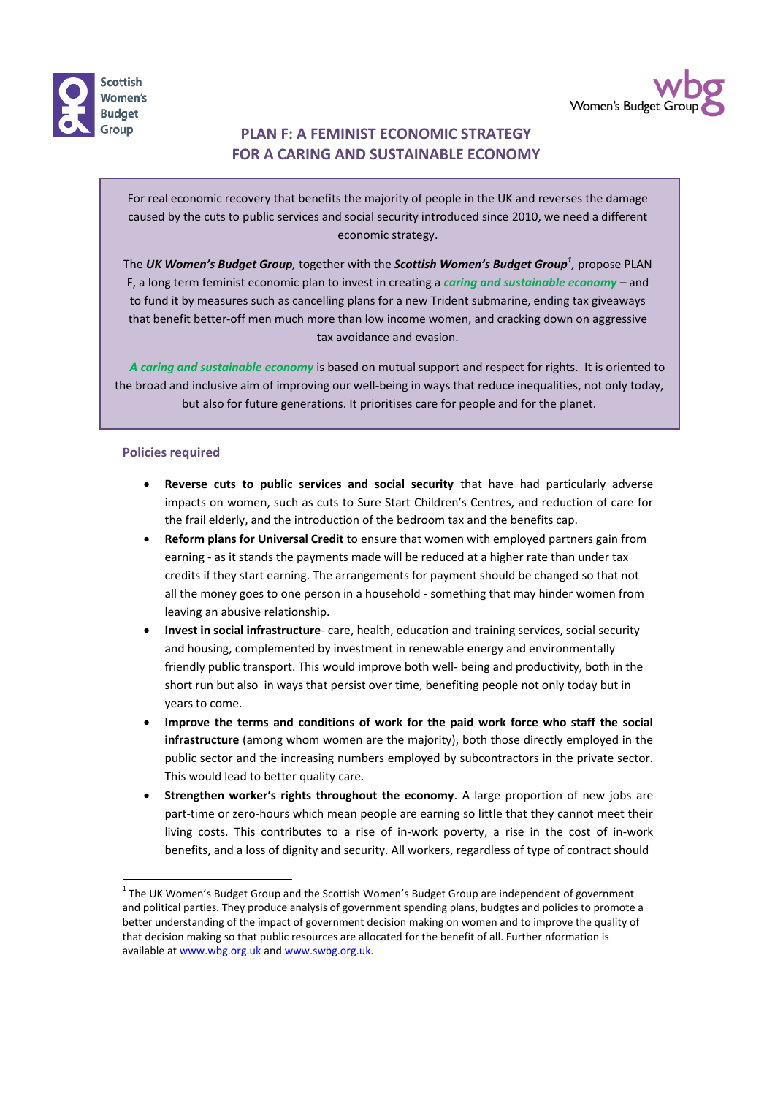



## **PLAN F: A FEMINIST ECONOMIC STRATEGY FOR A CARING AND SUSTAINABLE ECONOMY**

For real economic recovery that benefits the majority of people in the UK and reverses the damage caused by the cuts to public services and social security introduced since 2010, we need a different economic strategy.

The *UK Women's Budget Group,* together with the *Scottish Women's Budget Group<sup>1</sup> ,* propose PLAN F, a long term feminist economic plan to invest in creating a *caring and sustainable economy –* and to fund it by measures such as cancelling plans for a new Trident submarine, ending tax giveaways that benefit better-off men much more than low income women, and cracking down on aggressive tax avoidance and evasion.

*A caring and sustainable economy* is based on mutual support and respect for rights. It is oriented to the broad and inclusive aim of improving our well-being in ways that reduce inequalities, not only today, but also for future generations. It prioritises care for people and for the planet.

## **Policies required**

- x **Reverse cuts to public services and social security** that have had particularly adverse impacts on women, such as cuts to Sure Start Children's Centres, and reduction of care for the frail elderly, and the introduction of the bedroom tax and the benefits cap.
- x **Reform plans for Universal Credit** to ensure that women with employed partners gain from earning - as it stands the payments made will be reduced at a higher rate than under tax credits if they start earning. The arrangements for payment should be changed so that not all the money goes to one person in a household - something that may hinder women from leaving an abusive relationship.
- x **Invest in social infrastructure** care, health, education and training services, social security and housing, complemented by investment in renewable energy and environmentally friendly public transport. This would improve both well- being and productivity, both in the short run but also in ways that persist over time, benefiting people not only today but in years to come.
- x **Improve the terms and conditions of work for the paid work force who staff the social infrastructure** (among whom women are the majority), both those directly employed in the public sector and the increasing numbers employed by subcontractors in the private sector. This would lead to better quality care.
- x **Strengthen worker's rights throughout the economy**. A large proportion of new jobs are part-time or zero-hours which mean people are earning so little that they cannot meet their living costs. This contributes to a rise of in-work poverty, a rise in the cost of in-work benefits, and a loss of dignity and security. All workers, regardless of type of contract should

 $1$  The UK Women's Budget Group and the Scottish Women's Budget Group are independent of government and political parties. They produce analysis of government spending plans, budgtes and policies to promote a better understanding of the impact of government decision making on women and to improve the quality of that decision making so that public resources are allocated for the benefit of all. Further nformation is available at www.wbg.org.uk and www.swbg.org.uk.